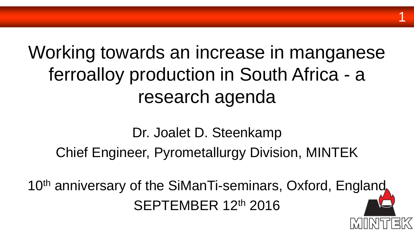# Working towards an increase in manganese ferroalloy production in South Africa - a research agenda

Dr. Joalet D. Steenkamp Chief Engineer, Pyrometallurgy Division, MINTEK

10<sup>th</sup> anniversary of the SiManTi-seminars, Oxford, England, SEPTEMBER 12<sup>th</sup> 2016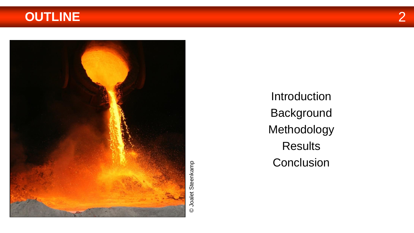

© Joalet Steenkamp © Joalet Steenkamp

Introduction **Background** Methodology **Results Conclusion**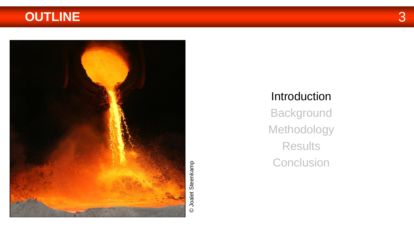

@ Joalet Steenkamp © Joalet Steenkamp

#### Introduction

Background Methodology **Results Conclusion**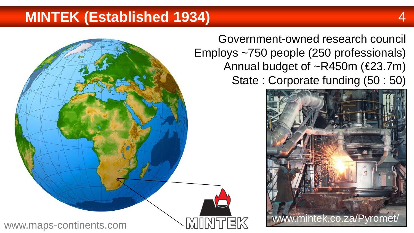### **MINTEK (Established 1934)**



Government-owned research council Employs ~750 people (250 professionals) Annual budget of ~R450m (₤23.7m) State : Corporate funding (50 : 50)

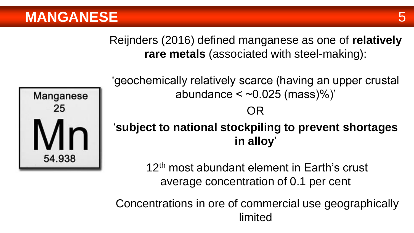Reijnders (2016) defined manganese as one of **relatively rare metals** (associated with steel-making):



'geochemically relatively scarce (having an upper crustal abundance  $<$   $\sim$  0.025 (mass)%)' OR

#### '**subject to national stockpiling to prevent shortages in alloy**'

12th most abundant element in Earth's crust average concentration of 0.1 per cent

Concentrations in ore of commercial use geographically limited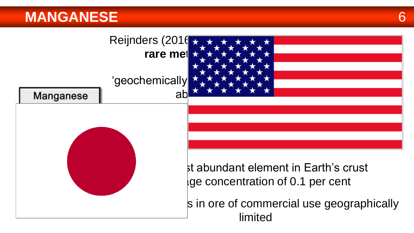#### **MANGANESE** 6

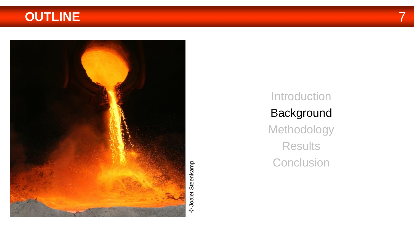

© Joalet Steenkamp © Joalet Steenkamp

**Introduction** Background Methodology **Results Conclusion**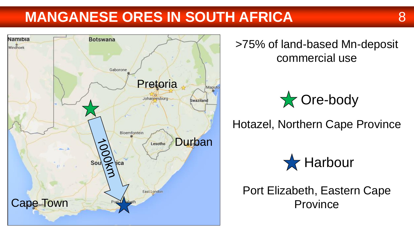### **MANGANESE ORES IN SOUTH AFRICA**



>75% of land-based Mn-deposit commercial use



Hotazel, Northern Cape Province



Port Elizabeth, Eastern Cape **Province**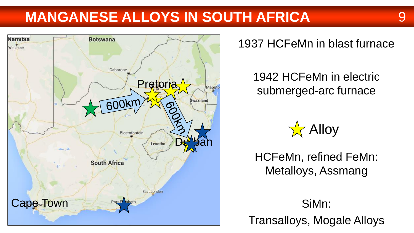### **MANGANESE ALLOYS IN SOUTH AFRICA**



1937 HCFeMn in blast furnace

1942 HCFeMn in electric submerged-arc furnace



HCFeMn, refined FeMn: Metalloys, Assmang

SiMn: Transalloys, Mogale Alloys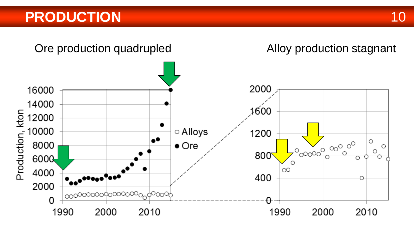### **PRODUCTION** 10

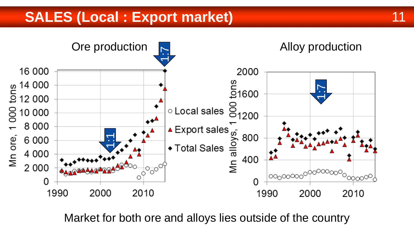### **SALES (Local : Export market)**



Market for both ore and alloys lies outside of the country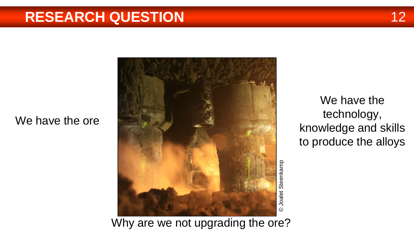### **RESEARCH QUESTION**

We have the ore



We have the technology, knowledge and skills to produce the alloys

Why are we not upgrading the ore?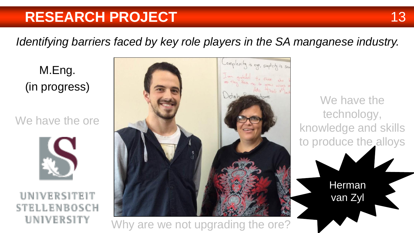### **RESEARCH PROJECT**

*Identifying barriers faced by key role players in the SA manganese industry.*

M.Eng. (in progress)

We have the ore



UNIVERSITEIT **STELLENBOSCH** UNIVERSITY



Why are we not upgrading the ore?

We have the technology, knowledge and skills to produce the alloys

> Herman van Zyl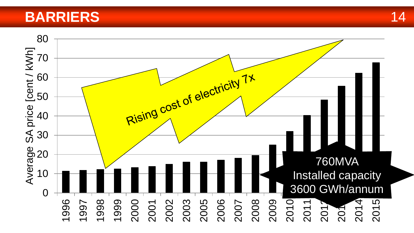### **BARRIERS**

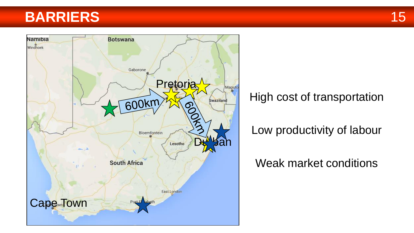### **BARRIERS**



#### High cost of transportation

#### Low productivity of labour

#### Weak market conditions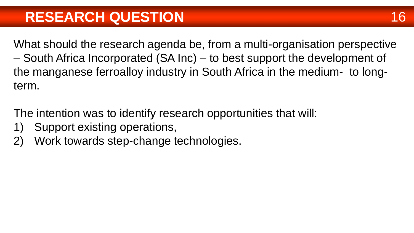What should the research agenda be, from a multi-organisation perspective – South Africa Incorporated (SA Inc) – to best support the development of the manganese ferroalloy industry in South Africa in the medium- to longterm.

The intention was to identify research opportunities that will:

- 1) Support existing operations,
- 2) Work towards step-change technologies.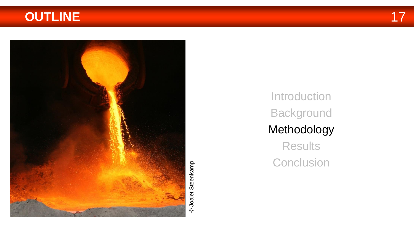

© Joalet Steenkamp © Joalet Steenkamp

**Introduction** Background Methodology **Results Conclusion**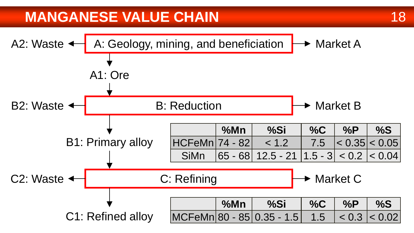#### **MANGANESE VALUE CHAIN**

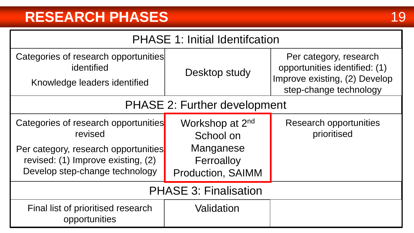### **RESEARCH PHASES**

| <b>PHASE 1: Initial Identifcation</b>                                                                                         |                                                                     |                                                                                                                    |
|-------------------------------------------------------------------------------------------------------------------------------|---------------------------------------------------------------------|--------------------------------------------------------------------------------------------------------------------|
| Categories of research opportunities<br>identified<br>Knowledge leaders identified                                            | Desktop study                                                       | Per category, research<br>opportunities identified: (1)<br>Improve existing, (2) Develop<br>step-change technology |
| <b>PHASE 2: Further development</b>                                                                                           |                                                                     |                                                                                                                    |
| Categories of research opportunities<br>revised<br>Per category, research opportunities<br>revised: (1) Improve existing, (2) | Workshop at 2 <sup>nd</sup><br>School on<br>Manganese<br>Ferroalloy | Research opportunities<br>prioritised                                                                              |
| Develop step-change technology                                                                                                | Production, SAIMM                                                   |                                                                                                                    |
| <b>PHASE 3: Finalisation</b>                                                                                                  |                                                                     |                                                                                                                    |
| Final list of prioritised research<br>opportunities                                                                           | Validation                                                          |                                                                                                                    |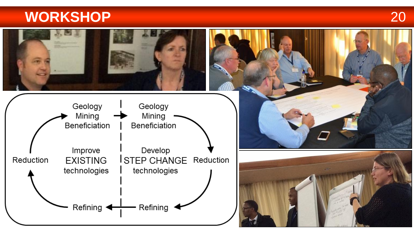#### **WORKSHOP 20**

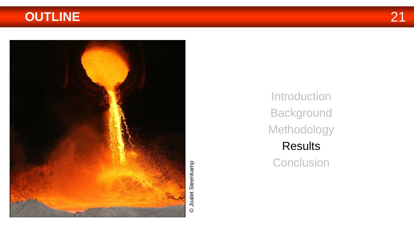

© Joalet Steenkamp © Joalet Steenkamp

**Introduction** Background Methodology **Results Conclusion**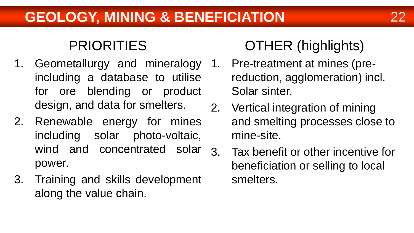## **GEOLOGY, MINING & BENEFICIATION**

### PRIORITIES

- 1. Geometallurgy and mineralogy 1. including a database to utilise for ore blending or product design, and data for smelters.
- 2. Renewable energy for mines including solar photo-voltaic, wind and concentrated solar power.
- 3. Training and skills development along the value chain.

- 1. Pre-treatment at mines (prereduction, agglomeration) incl. Solar sinter.
- 2. Vertical integration of mining and smelting processes close to mine-site.
- 3. Tax benefit or other incentive for beneficiation or selling to local smelters.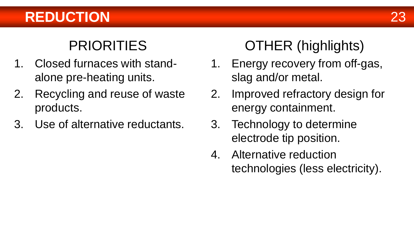## **REDUCTION**

# **PRIORITIES**

- 1. Closed furnaces with standalone pre-heating units.
- 2. Recycling and reuse of waste products.
- 3. Use of alternative reductants.

- 1. Energy recovery from off-gas, slag and/or metal.
- 2. Improved refractory design for energy containment.
- 3. Technology to determine electrode tip position.
- 4. Alternative reduction technologies (less electricity).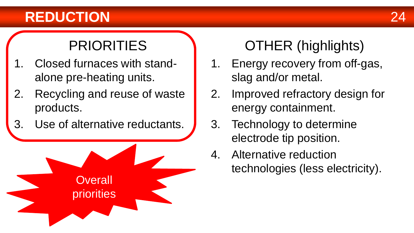## **REDUCTION**

## **PRIORITIES**

- 1. Closed furnaces with standalone pre-heating units.
- 2. Recycling and reuse of waste products.
- 3. Use of alternative reductants.



- 1. Energy recovery from off-gas, slag and/or metal.
- 2. Improved refractory design for energy containment.
- 3. Technology to determine electrode tip position.
- 4. Alternative reduction technologies (less electricity).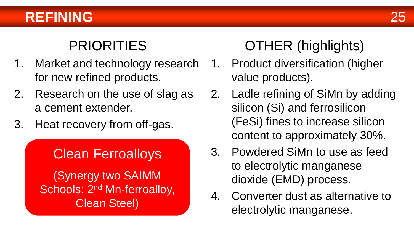## **REFINING**

### **PRIORITIES**

- 1. Market and technology research for new refined products.
- 2. Research on the use of slag as a cement extender.
- 3. Heat recovery from off-gas.

#### Clean Ferroalloys

(Synergy two SAIMM Schools: 2<sup>nd</sup> Mn-ferroalloy, Clean Steel)

- 1. Product diversification (higher value products).
- 2. Ladle refining of SiMn by adding silicon (Si) and ferrosilicon (FeSi) fines to increase silicon content to approximately 30%.
- 3. Powdered SiMn to use as feed to electrolytic manganese dioxide (EMD) process.
- 4. Converter dust as alternative to electrolytic manganese.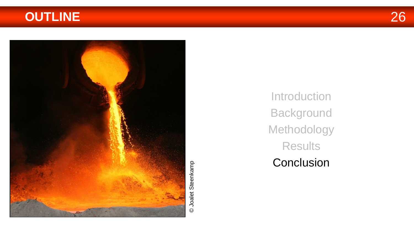

@ Joalet Steenkamp © Joalet Steenkamp

**Introduction** Background Methodology **Results Conclusion**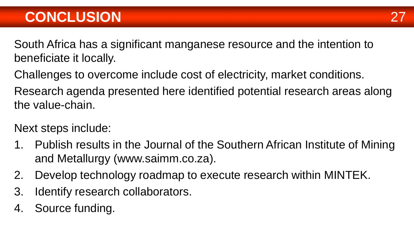South Africa has a significant manganese resource and the intention to beneficiate it locally.

Challenges to overcome include cost of electricity, market conditions.

Research agenda presented here identified potential research areas along the value-chain.

Next steps include:

- 1. Publish results in the Journal of the Southern African Institute of Mining and Metallurgy (www.saimm.co.za).
- 2. Develop technology roadmap to execute research within MINTEK.
- 3. Identify research collaborators.
- 4. Source funding.